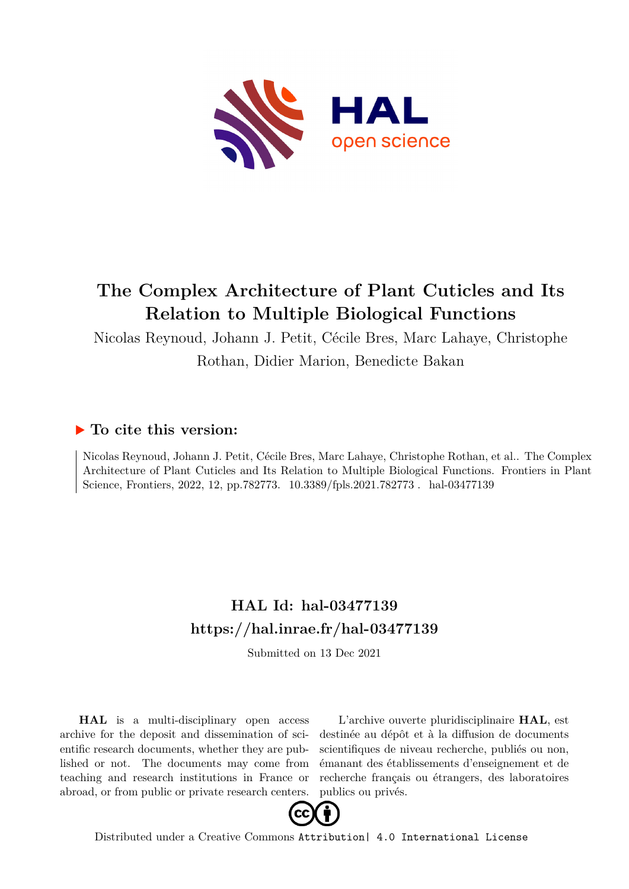

# **The Complex Architecture of Plant Cuticles and Its Relation to Multiple Biological Functions**

Nicolas Reynoud, Johann J. Petit, Cécile Bres, Marc Lahaye, Christophe Rothan, Didier Marion, Benedicte Bakan

## **To cite this version:**

Nicolas Reynoud, Johann J. Petit, Cécile Bres, Marc Lahaye, Christophe Rothan, et al.. The Complex Architecture of Plant Cuticles and Its Relation to Multiple Biological Functions. Frontiers in Plant Science, Frontiers, 2022, 12, pp.782773. 10.3389/fpls.2021.782773. hal-03477139

## **HAL Id: hal-03477139 <https://hal.inrae.fr/hal-03477139>**

Submitted on 13 Dec 2021

**HAL** is a multi-disciplinary open access archive for the deposit and dissemination of scientific research documents, whether they are published or not. The documents may come from teaching and research institutions in France or abroad, or from public or private research centers.

L'archive ouverte pluridisciplinaire **HAL**, est destinée au dépôt et à la diffusion de documents scientifiques de niveau recherche, publiés ou non, émanant des établissements d'enseignement et de recherche français ou étrangers, des laboratoires publics ou privés.



Distributed under a Creative Commons [Attribution| 4.0 International License](http://creativecommons.org/licenses/by/4.0/)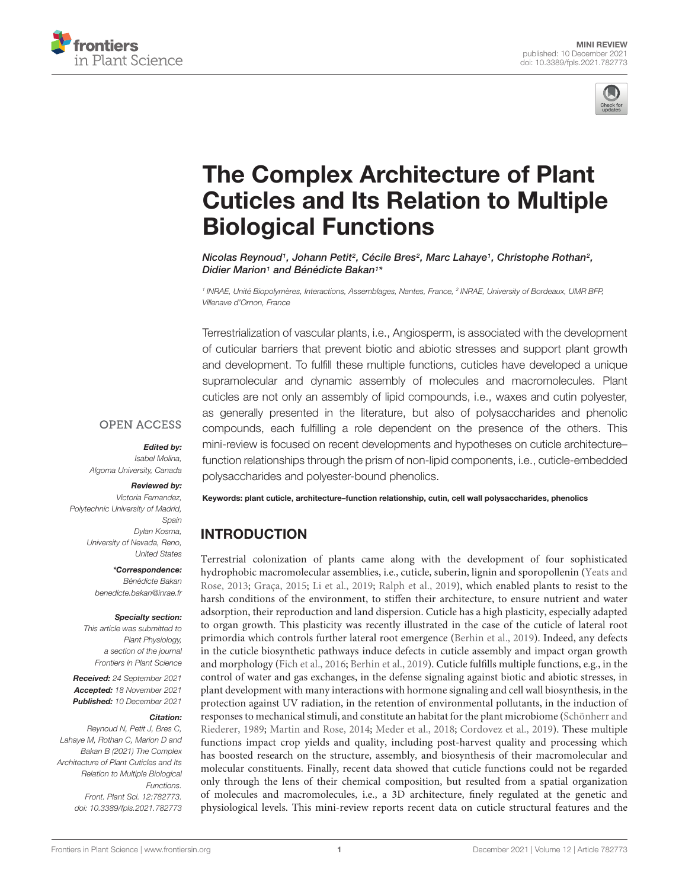



# The Complex Architecture of Plant [Cuticles and Its Relation to Multiple](https://www.frontiersin.org/articles/10.3389/fpls.2021.782773/full) Biological Functions

Nicolas Reynoud1, Johann Petit<sup>2</sup>, Cécile Bres<sup>2</sup>, Marc Lahaye1, Christophe Rothan<sup>2</sup>, Didier Marion1 and Bénédicte Bakan1\*

<sup>1</sup> INRAE, Unité Biopolymères, Interactions, Assemblages, Nantes, France, <sup>2</sup> INRAE, University of Bordeaux, UMR BFP, Villenave d'Ornon, France

Terrestrialization of vascular plants, i.e., Angiosperm, is associated with the development of cuticular barriers that prevent biotic and abiotic stresses and support plant growth and development. To fulfill these multiple functions, cuticles have developed a unique supramolecular and dynamic assembly of molecules and macromolecules. Plant cuticles are not only an assembly of lipid compounds, i.e., waxes and cutin polyester, as generally presented in the literature, but also of polysaccharides and phenolic compounds, each fulfilling a role dependent on the presence of the others. This mini-review is focused on recent developments and hypotheses on cuticle architecture– function relationships through the prism of non-lipid components, i.e., cuticle-embedded polysaccharides and polyester-bound phenolics.

#### **OPEN ACCESS**

#### Edited by:

Isabel Molina, Algoma University, Canada

#### Reviewed by:

Victoria Fernandez, Polytechnic University of Madrid, Spain Dylan Kosma, University of Nevada, Reno, United States

> \*Correspondence: Bénédicte Bakan benedicte.bakan@inrae.fr

#### Specialty section:

This article was submitted to Plant Physiology, a section of the journal Frontiers in Plant Science

Received: 24 September 2021 Accepted: 18 November 2021 Published: 10 December 2021

#### Citation:

Reynoud N, Petit J, Bres C, Lahaye M, Rothan C, Marion D and Bakan B (2021) The Complex Architecture of Plant Cuticles and Its Relation to Multiple Biological Functions. Front. Plant Sci. 12:782773. doi: [10.3389/fpls.2021.782773](https://doi.org/10.3389/fpls.2021.782773)

Keywords: plant cuticle, architecture–function relationship, cutin, cell wall polysaccharides, phenolics

## INTRODUCTION

Terrestrial colonization of plants came along with the development of four sophisticated hydrophobic macromolecular assemblies, i.e., cuticle, suberin, lignin and sporopollenin (Yeats and Rose, 2013; Graça, 2015; Li et al., 2019; Ralph et al., 2019), which enabled plants to resist to the harsh conditions of the environment, to stiffen their architecture, to ensure nutrient and water adsorption, their reproduction and land dispersion. Cuticle has a high plasticity, especially adapted to organ growth. This plasticity was recently illustrated in the case of the cuticle of lateral root primordia which controls further lateral root emergence (Berhin et al., 2019). Indeed, any defects in the cuticle biosynthetic pathways induce defects in cuticle assembly and impact organ growth and morphology (Fich et al., 2016; Berhin et al., 2019). Cuticle fulfills multiple functions, e.g., in the control of water and gas exchanges, in the defense signaling against biotic and abiotic stresses, in plant development with many interactions with hormone signaling and cell wall biosynthesis, in the protection against UV radiation, in the retention of environmental pollutants, in the induction of responses to mechanical stimuli, and constitute an habitat for the plant microbiome (Schönherr and Riederer, 1989; Martin and Rose, 2014; Meder et al., 2018; Cordovez et al., 2019). These multiple functions impact crop yields and quality, including post-harvest quality and processing which has boosted research on the structure, assembly, and biosynthesis of their macromolecular and molecular constituents. Finally, recent data showed that cuticle functions could not be regarded only through the lens of their chemical composition, but resulted from a spatial organization of molecules and macromolecules, i.e., a 3D architecture, finely regulated at the genetic and physiological levels. This mini-review reports recent data on cuticle structural features and the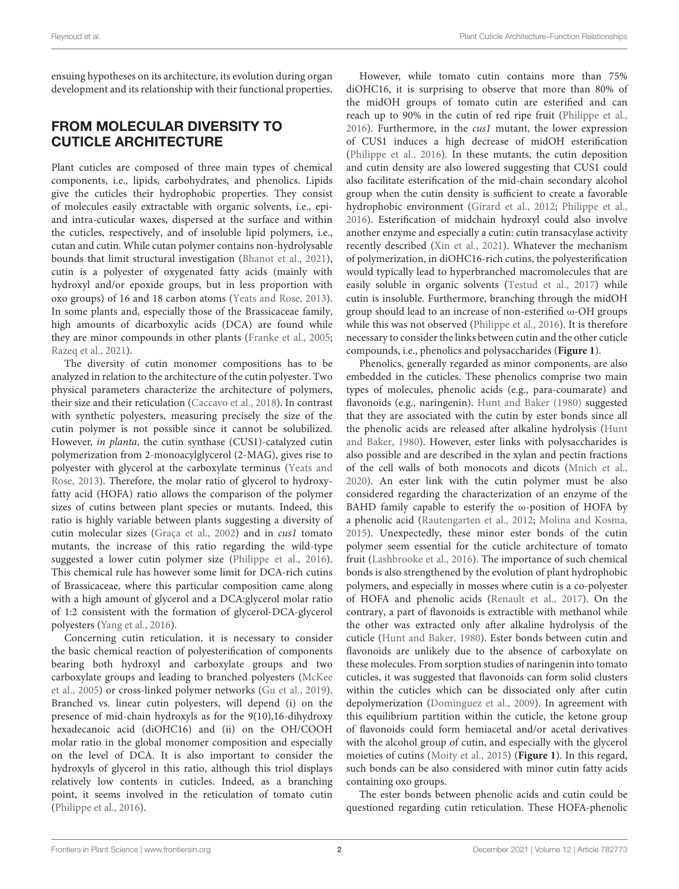ensuing hypotheses on its architecture, its evolution during organ development and its relationship with their functional properties.

## FROM MOLECULAR DIVERSITY TO CUTICLE ARCHITECTURE

Plant cuticles are composed of three main types of chemical components, i.e., lipids, carbohydrates, and phenolics. Lipids give the cuticles their hydrophobic properties. They consist of molecules easily extractable with organic solvents, i.e., epiand intra-cuticular waxes, dispersed at the surface and within the cuticles, respectively, and of insoluble lipid polymers, i.e., cutan and cutin. While cutan polymer contains non-hydrolysable bounds that limit structural investigation (Bhanot et al., 2021), cutin is a polyester of oxygenated fatty acids (mainly with hydroxyl and/or epoxide groups, but in less proportion with oxo groups) of 16 and 18 carbon atoms (Yeats and Rose, 2013). In some plants and, especially those of the Brassicaceae family, high amounts of dicarboxylic acids (DCA) are found while they are minor compounds in other plants (Franke et al., 2005; Razeq et al., 2021).

The diversity of cutin monomer compositions has to be analyzed in relation to the architecture of the cutin polyester. Two physical parameters characterize the architecture of polymers, their size and their reticulation (Caccavo et al., 2018). In contrast with synthetic polyesters, measuring precisely the size of the cutin polymer is not possible since it cannot be solubilized. However, in planta, the cutin synthase (CUS1)-catalyzed cutin polymerization from 2-monoacylglycerol (2-MAG), gives rise to polyester with glycerol at the carboxylate terminus (Yeats and Rose, 2013). Therefore, the molar ratio of glycerol to hydroxyfatty acid (HOFA) ratio allows the comparison of the polymer sizes of cutins between plant species or mutants. Indeed, this ratio is highly variable between plants suggesting a diversity of cutin molecular sizes (Graça et al., 2002) and in cus1 tomato mutants, the increase of this ratio regarding the wild-type suggested a lower cutin polymer size (Philippe et al., 2016). This chemical rule has however some limit for DCA-rich cutins of Brassicaceae, where this particular composition came along with a high amount of glycerol and a DCA:glycerol molar ratio of 1:2 consistent with the formation of glycerol-DCA-glycerol polyesters (Yang et al., 2016).

Concerning cutin reticulation, it is necessary to consider the basic chemical reaction of polyesterification of components bearing both hydroxyl and carboxylate groups and two carboxylate groups and leading to branched polyesters (McKee et al., 2005) or cross-linked polymer networks (Gu et al., 2019). Branched vs. linear cutin polyesters, will depend (i) on the presence of mid-chain hydroxyls as for the 9(10),16-dihydroxy hexadecanoic acid (diOHC16) and (ii) on the OH/COOH molar ratio in the global monomer composition and especially on the level of DCA. It is also important to consider the hydroxyls of glycerol in this ratio, although this triol displays relatively low contents in cuticles. Indeed, as a branching point, it seems involved in the reticulation of tomato cutin (Philippe et al., 2016).

However, while tomato cutin contains more than 75% diOHC16, it is surprising to observe that more than 80% of the midOH groups of tomato cutin are esterified and can reach up to 90% in the cutin of red ripe fruit (Philippe et al., 2016). Furthermore, in the cus1 mutant, the lower expression of CUS1 induces a high decrease of midOH esterification (Philippe et al., 2016). In these mutants, the cutin deposition and cutin density are also lowered suggesting that CUS1 could also facilitate esterification of the mid-chain secondary alcohol group when the cutin density is sufficient to create a favorable hydrophobic environment (Girard et al., 2012; Philippe et al., 2016). Esterification of midchain hydroxyl could also involve another enzyme and especially a cutin: cutin transacylase activity recently described (Xin et al., 2021). Whatever the mechanism of polymerization, in diOHC16-rich cutins, the polyesterification would typically lead to hyperbranched macromolecules that are easily soluble in organic solvents (Testud et al., 2017) while cutin is insoluble. Furthermore, branching through the midOH group should lead to an increase of non-esterified ω-OH groups while this was not observed (Philippe et al., 2016). It is therefore necessary to consider the links between cutin and the other cuticle compounds, i.e., phenolics and polysaccharides (**Figure 1**).

Phenolics, generally regarded as minor components, are also embedded in the cuticles. These phenolics comprise two main types of molecules, phenolic acids (e.g., para-coumarate) and flavonoids (e.g., naringenin). Hunt and Baker (1980) suggested that they are associated with the cutin by ester bonds since all the phenolic acids are released after alkaline hydrolysis (Hunt and Baker, 1980). However, ester links with polysaccharides is also possible and are described in the xylan and pectin fractions of the cell walls of both monocots and dicots (Mnich et al., 2020). An ester link with the cutin polymer must be also considered regarding the characterization of an enzyme of the BAHD family capable to esterify the  $\omega$ -position of HOFA by a phenolic acid (Rautengarten et al., 2012; Molina and Kosma, 2015). Unexpectedly, these minor ester bonds of the cutin polymer seem essential for the cuticle architecture of tomato fruit (Lashbrooke et al., 2016). The importance of such chemical bonds is also strengthened by the evolution of plant hydrophobic polymers, and especially in mosses where cutin is a co-polyester of HOFA and phenolic acids (Renault et al., 2017). On the contrary, a part of flavonoids is extractible with methanol while the other was extracted only after alkaline hydrolysis of the cuticle (Hunt and Baker, 1980). Ester bonds between cutin and flavonoids are unlikely due to the absence of carboxylate on these molecules. From sorption studies of naringenin into tomato cuticles, it was suggested that flavonoids can form solid clusters within the cuticles which can be dissociated only after cutin depolymerization (Dominguez et al., 2009). In agreement with this equilibrium partition within the cuticle, the ketone group of flavonoids could form hemiacetal and/or acetal derivatives with the alcohol group of cutin, and especially with the glycerol moieties of cutins (Moity et al., 2015) (**Figure 1**). In this regard, such bonds can be also considered with minor cutin fatty acids containing oxo groups.

The ester bonds between phenolic acids and cutin could be questioned regarding cutin reticulation. These HOFA-phenolic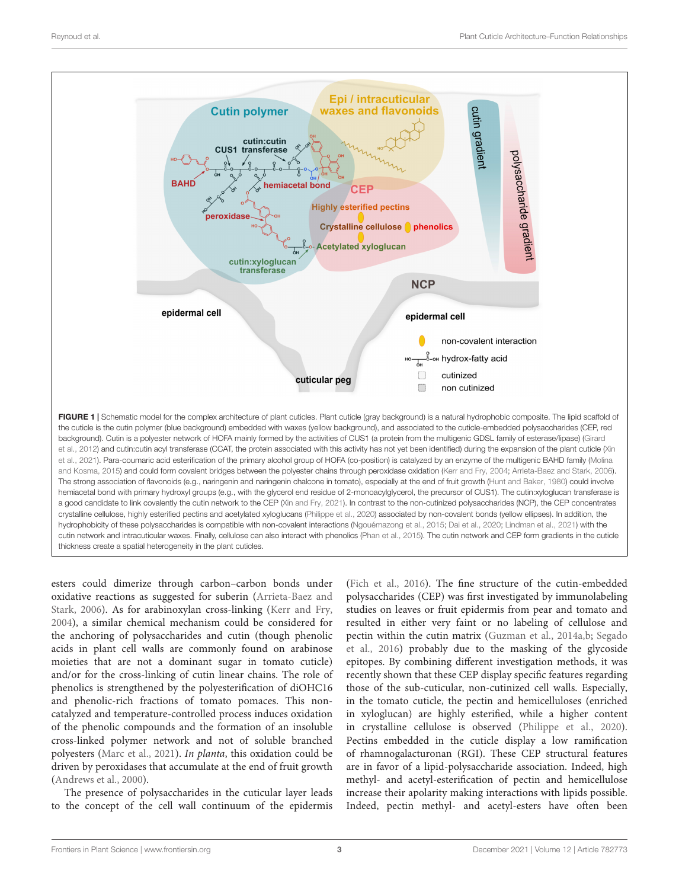

a good candidate to link covalently the cutin network to the CEP (Xin and Fry, 2021). In contrast to the non-cutinized polysaccharides (NCP), the CEP concentrates crystalline cellulose, highly esterified pectins and acetylated xyloglucans (Philippe et al., 2020) associated by non-covalent bonds (yellow ellipses). In addition, the hydrophobicity of these polysaccharides is compatible with non-covalent interactions (Ngouémazong et al., 2015; Dai et al., 2020; Lindman et al., 2021) with the cutin network and intracuticular waxes. Finally, cellulose can also interact with phenolics (Phan et al., 2015). The cutin network and CEP form gradients in the cuticle thickness create a spatial heterogeneity in the plant cuticles.

esters could dimerize through carbon–carbon bonds under oxidative reactions as suggested for suberin (Arrieta-Baez and Stark, 2006). As for arabinoxylan cross-linking (Kerr and Fry, 2004), a similar chemical mechanism could be considered for the anchoring of polysaccharides and cutin (though phenolic acids in plant cell walls are commonly found on arabinose moieties that are not a dominant sugar in tomato cuticle) and/or for the cross-linking of cutin linear chains. The role of phenolics is strengthened by the polyesterification of diOHC16 and phenolic-rich fractions of tomato pomaces. This noncatalyzed and temperature-controlled process induces oxidation of the phenolic compounds and the formation of an insoluble cross-linked polymer network and not of soluble branched polyesters (Marc et al., 2021). In planta, this oxidation could be driven by peroxidases that accumulate at the end of fruit growth (Andrews et al., 2000).

The presence of polysaccharides in the cuticular layer leads to the concept of the cell wall continuum of the epidermis

(Fich et al., 2016). The fine structure of the cutin-embedded polysaccharides (CEP) was first investigated by immunolabeling studies on leaves or fruit epidermis from pear and tomato and resulted in either very faint or no labeling of cellulose and pectin within the cutin matrix (Guzman et al., 2014a,b; Segado et al., 2016) probably due to the masking of the glycoside epitopes. By combining different investigation methods, it was recently shown that these CEP display specific features regarding those of the sub-cuticular, non-cutinized cell walls. Especially, in the tomato cuticle, the pectin and hemicelluloses (enriched in xyloglucan) are highly esterified, while a higher content in crystalline cellulose is observed (Philippe et al., 2020). Pectins embedded in the cuticle display a low ramification of rhamnogalacturonan (RGI). These CEP structural features are in favor of a lipid-polysaccharide association. Indeed, high methyl- and acetyl-esterification of pectin and hemicellulose increase their apolarity making interactions with lipids possible. Indeed, pectin methyl- and acetyl-esters have often been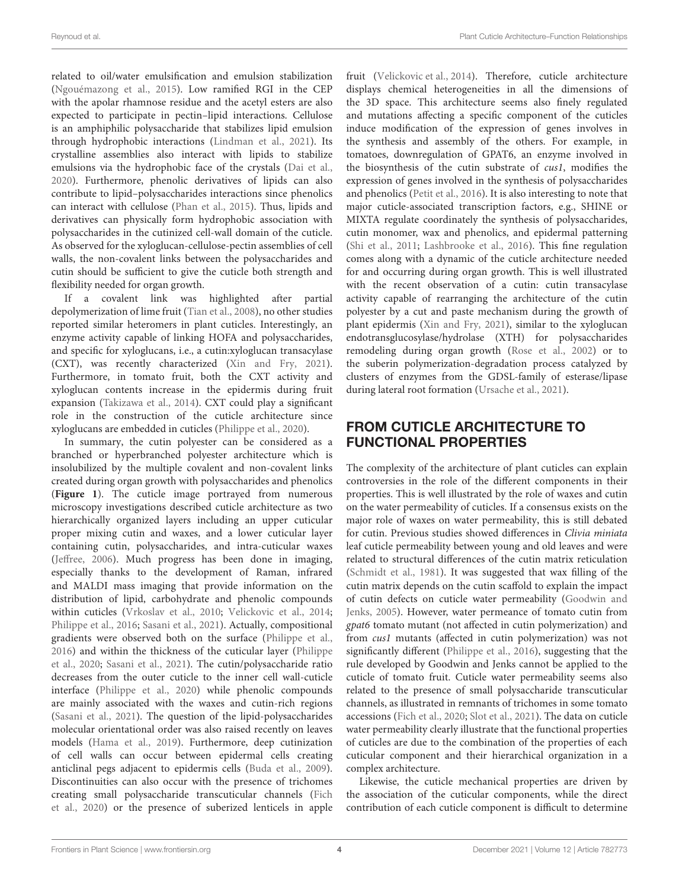related to oil/water emulsification and emulsion stabilization (Ngouémazong et al., 2015). Low ramified RGI in the CEP with the apolar rhamnose residue and the acetyl esters are also expected to participate in pectin–lipid interactions. Cellulose is an amphiphilic polysaccharide that stabilizes lipid emulsion through hydrophobic interactions (Lindman et al., 2021). Its crystalline assemblies also interact with lipids to stabilize emulsions via the hydrophobic face of the crystals (Dai et al., 2020). Furthermore, phenolic derivatives of lipids can also contribute to lipid–polysaccharides interactions since phenolics can interact with cellulose (Phan et al., 2015). Thus, lipids and derivatives can physically form hydrophobic association with polysaccharides in the cutinized cell-wall domain of the cuticle. As observed for the xyloglucan-cellulose-pectin assemblies of cell walls, the non-covalent links between the polysaccharides and cutin should be sufficient to give the cuticle both strength and flexibility needed for organ growth.

If a covalent link was highlighted after partial depolymerization of lime fruit (Tian et al., 2008), no other studies reported similar heteromers in plant cuticles. Interestingly, an enzyme activity capable of linking HOFA and polysaccharides, and specific for xyloglucans, i.e., a cutin:xyloglucan transacylase (CXT), was recently characterized (Xin and Fry, 2021). Furthermore, in tomato fruit, both the CXT activity and xyloglucan contents increase in the epidermis during fruit expansion (Takizawa et al., 2014). CXT could play a significant role in the construction of the cuticle architecture since xyloglucans are embedded in cuticles (Philippe et al., 2020).

In summary, the cutin polyester can be considered as a branched or hyperbranched polyester architecture which is insolubilized by the multiple covalent and non-covalent links created during organ growth with polysaccharides and phenolics (**Figure 1**). The cuticle image portrayed from numerous microscopy investigations described cuticle architecture as two hierarchically organized layers including an upper cuticular proper mixing cutin and waxes, and a lower cuticular layer containing cutin, polysaccharides, and intra-cuticular waxes (Jeffree, 2006). Much progress has been done in imaging, especially thanks to the development of Raman, infrared and MALDI mass imaging that provide information on the distribution of lipid, carbohydrate and phenolic compounds within cuticles (Vrkoslav et al., 2010; Velickovic et al., 2014; Philippe et al., 2016; Sasani et al., 2021). Actually, compositional gradients were observed both on the surface (Philippe et al., 2016) and within the thickness of the cuticular layer (Philippe et al., 2020; Sasani et al., 2021). The cutin/polysaccharide ratio decreases from the outer cuticle to the inner cell wall-cuticle interface (Philippe et al., 2020) while phenolic compounds are mainly associated with the waxes and cutin-rich regions (Sasani et al., 2021). The question of the lipid-polysaccharides molecular orientational order was also raised recently on leaves models (Hama et al., 2019). Furthermore, deep cutinization of cell walls can occur between epidermal cells creating anticlinal pegs adjacent to epidermis cells (Buda et al., 2009). Discontinuities can also occur with the presence of trichomes creating small polysaccharide transcuticular channels (Fich et al., 2020) or the presence of suberized lenticels in apple fruit (Velickovic et al., 2014). Therefore, cuticle architecture displays chemical heterogeneities in all the dimensions of the 3D space. This architecture seems also finely regulated and mutations affecting a specific component of the cuticles induce modification of the expression of genes involves in the synthesis and assembly of the others. For example, in tomatoes, downregulation of GPAT6, an enzyme involved in the biosynthesis of the cutin substrate of cus1, modifies the expression of genes involved in the synthesis of polysaccharides and phenolics (Petit et al., 2016). It is also interesting to note that major cuticle-associated transcription factors, e.g., SHINE or MIXTA regulate coordinately the synthesis of polysaccharides, cutin monomer, wax and phenolics, and epidermal patterning (Shi et al., 2011; Lashbrooke et al., 2016). This fine regulation comes along with a dynamic of the cuticle architecture needed for and occurring during organ growth. This is well illustrated with the recent observation of a cutin: cutin transacylase activity capable of rearranging the architecture of the cutin polyester by a cut and paste mechanism during the growth of plant epidermis (Xin and Fry, 2021), similar to the xyloglucan endotransglucosylase/hydrolase (XTH) for polysaccharides remodeling during organ growth (Rose et al., 2002) or to the suberin polymerization-degradation process catalyzed by clusters of enzymes from the GDSL-family of esterase/lipase during lateral root formation (Ursache et al., 2021).

## FROM CUTICLE ARCHITECTURE TO FUNCTIONAL PROPERTIES

The complexity of the architecture of plant cuticles can explain controversies in the role of the different components in their properties. This is well illustrated by the role of waxes and cutin on the water permeability of cuticles. If a consensus exists on the major role of waxes on water permeability, this is still debated for cutin. Previous studies showed differences in Clivia miniata leaf cuticle permeability between young and old leaves and were related to structural differences of the cutin matrix reticulation (Schmidt et al., 1981). It was suggested that wax filling of the cutin matrix depends on the cutin scaffold to explain the impact of cutin defects on cuticle water permeability (Goodwin and Jenks, 2005). However, water permeance of tomato cutin from gpat6 tomato mutant (not affected in cutin polymerization) and from cus1 mutants (affected in cutin polymerization) was not significantly different (Philippe et al., 2016), suggesting that the rule developed by Goodwin and Jenks cannot be applied to the cuticle of tomato fruit. Cuticle water permeability seems also related to the presence of small polysaccharide transcuticular channels, as illustrated in remnants of trichomes in some tomato accessions (Fich et al., 2020; Slot et al., 2021). The data on cuticle water permeability clearly illustrate that the functional properties of cuticles are due to the combination of the properties of each cuticular component and their hierarchical organization in a complex architecture.

Likewise, the cuticle mechanical properties are driven by the association of the cuticular components, while the direct contribution of each cuticle component is difficult to determine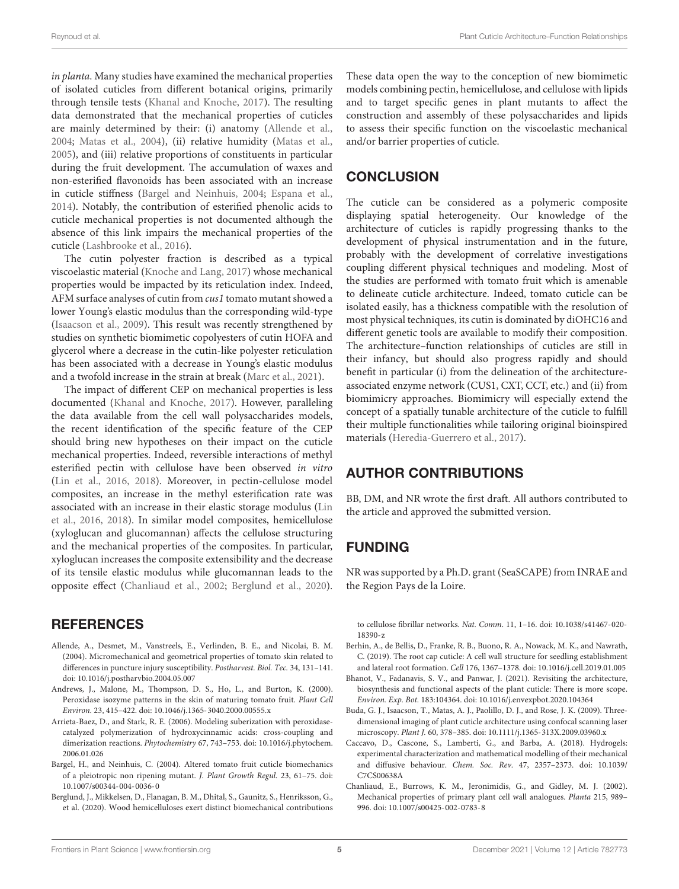in planta. Many studies have examined the mechanical properties of isolated cuticles from different botanical origins, primarily through tensile tests (Khanal and Knoche, 2017). The resulting data demonstrated that the mechanical properties of cuticles are mainly determined by their: (i) anatomy (Allende et al., 2004; Matas et al., 2004), (ii) relative humidity (Matas et al., 2005), and (iii) relative proportions of constituents in particular during the fruit development. The accumulation of waxes and non-esterified flavonoids has been associated with an increase in cuticle stiffness (Bargel and Neinhuis, 2004; Espana et al., 2014). Notably, the contribution of esterified phenolic acids to cuticle mechanical properties is not documented although the absence of this link impairs the mechanical properties of the cuticle (Lashbrooke et al., 2016).

The cutin polyester fraction is described as a typical viscoelastic material (Knoche and Lang, 2017) whose mechanical properties would be impacted by its reticulation index. Indeed, AFM surface analyses of cutin from cus1 tomato mutant showed a lower Young's elastic modulus than the corresponding wild-type (Isaacson et al., 2009). This result was recently strengthened by studies on synthetic biomimetic copolyesters of cutin HOFA and glycerol where a decrease in the cutin-like polyester reticulation has been associated with a decrease in Young's elastic modulus and a twofold increase in the strain at break (Marc et al., 2021).

The impact of different CEP on mechanical properties is less documented (Khanal and Knoche, 2017). However, paralleling the data available from the cell wall polysaccharides models, the recent identification of the specific feature of the CEP should bring new hypotheses on their impact on the cuticle mechanical properties. Indeed, reversible interactions of methyl esterified pectin with cellulose have been observed in vitro (Lin et al., 2016, 2018). Moreover, in pectin-cellulose model composites, an increase in the methyl esterification rate was associated with an increase in their elastic storage modulus (Lin et al., 2016, 2018). In similar model composites, hemicellulose (xyloglucan and glucomannan) affects the cellulose structuring and the mechanical properties of the composites. In particular, xyloglucan increases the composite extensibility and the decrease of its tensile elastic modulus while glucomannan leads to the opposite effect (Chanliaud et al., 2002; Berglund et al., 2020).

## **REFERENCES**

- Allende, A., Desmet, M., Vanstreels, E., Verlinden, B. E., and Nicolai, B. M. (2004). Micromechanical and geometrical properties of tomato skin related to differences in puncture injury susceptibility. Postharvest. Biol. Tec. 34, 131–141. [doi: 10.1016/j.postharvbio.2004.05.007](https://doi.org/10.1016/j.postharvbio.2004.05.007)
- Andrews, J., Malone, M., Thompson, D. S., Ho, L., and Burton, K. (2000). Peroxidase isozyme patterns in the skin of maturing tomato fruit. Plant Cell Environ. 23, 415–422. [doi: 10.1046/j.1365-3040.2000.00555.x](https://doi.org/10.1046/j.1365-3040.2000.00555.x)
- Arrieta-Baez, D., and Stark, R. E. (2006). Modeling suberization with peroxidasecatalyzed polymerization of hydroxycinnamic acids: cross-coupling and dimerization reactions. Phytochemistry 67, 743–753. [doi: 10.1016/j.phytochem.](https://doi.org/10.1016/j.phytochem.2006.01.026) [2006.01.026](https://doi.org/10.1016/j.phytochem.2006.01.026)
- Bargel, H., and Neinhuis, C. (2004). Altered tomato fruit cuticle biomechanics of a pleiotropic non ripening mutant. J. Plant Growth Regul. 23, 61–75. [doi:](https://doi.org/10.1007/s00344-004-0036-0) [10.1007/s00344-004-0036-0](https://doi.org/10.1007/s00344-004-0036-0)
- Berglund, J., Mikkelsen, D., Flanagan, B. M., Dhital, S., Gaunitz, S., Henriksson, G., et al. (2020). Wood hemicelluloses exert distinct biomechanical contributions

These data open the way to the conception of new biomimetic models combining pectin, hemicellulose, and cellulose with lipids and to target specific genes in plant mutants to affect the construction and assembly of these polysaccharides and lipids to assess their specific function on the viscoelastic mechanical and/or barrier properties of cuticle.

## **CONCLUSION**

The cuticle can be considered as a polymeric composite displaying spatial heterogeneity. Our knowledge of the architecture of cuticles is rapidly progressing thanks to the development of physical instrumentation and in the future, probably with the development of correlative investigations coupling different physical techniques and modeling. Most of the studies are performed with tomato fruit which is amenable to delineate cuticle architecture. Indeed, tomato cuticle can be isolated easily, has a thickness compatible with the resolution of most physical techniques, its cutin is dominated by diOHC16 and different genetic tools are available to modify their composition. The architecture–function relationships of cuticles are still in their infancy, but should also progress rapidly and should benefit in particular (i) from the delineation of the architectureassociated enzyme network (CUS1, CXT, CCT, etc.) and (ii) from biomimicry approaches. Biomimicry will especially extend the concept of a spatially tunable architecture of the cuticle to fulfill their multiple functionalities while tailoring original bioinspired materials (Heredia-Guerrero et al., 2017).

## AUTHOR CONTRIBUTIONS

BB, DM, and NR wrote the first draft. All authors contributed to the article and approved the submitted version.

## FUNDING

NR was supported by a Ph.D. grant (SeaSCAPE) from INRAE and the Region Pays de la Loire.

to cellulose fibrillar networks. Nat. Comm. 11, 1–16. [doi: 10.1038/s41467-020-](https://doi.org/10.1038/s41467-020-18390-z) [18390-z](https://doi.org/10.1038/s41467-020-18390-z)

- Berhin, A., de Bellis, D., Franke, R. B., Buono, R. A., Nowack, M. K., and Nawrath, C. (2019). The root cap cuticle: A cell wall structure for seedling establishment and lateral root formation. Cell 176, 1367–1378. [doi: 10.1016/j.cell.2019.01.005](https://doi.org/10.1016/j.cell.2019.01.005)
- Bhanot, V., Fadanavis, S. V., and Panwar, J. (2021). Revisiting the architecture, biosynthesis and functional aspects of the plant cuticle: There is more scope. Environ. Exp. Bot. 183:104364. [doi: 10.1016/j.envexpbot.2020.104364](https://doi.org/10.1016/j.envexpbot.2020.104364)
- Buda, G. J., Isaacson, T., Matas, A. J., Paolillo, D. J., and Rose, J. K. (2009). Threedimensional imaging of plant cuticle architecture using confocal scanning laser microscopy. Plant J. 60, 378–385. [doi: 10.1111/j.1365-313X.2009.03960.x](https://doi.org/10.1111/j.1365-313X.2009.03960.x)
- Caccavo, D., Cascone, S., Lamberti, G., and Barba, A. (2018). Hydrogels: experimental characterization and mathematical modelling of their mechanical and diffusive behaviour. Chem. Soc. Rev. 47, 2357–2373. [doi: 10.1039/](https://doi.org/10.1039/C7CS00638A) [C7CS00638A](https://doi.org/10.1039/C7CS00638A)
- Chanliaud, E., Burrows, K. M., Jeronimidis, G., and Gidley, M. J. (2002). Mechanical properties of primary plant cell wall analogues. Planta 215, 989– 996. [doi: 10.1007/s00425-002-0783-8](https://doi.org/10.1007/s00425-002-0783-8)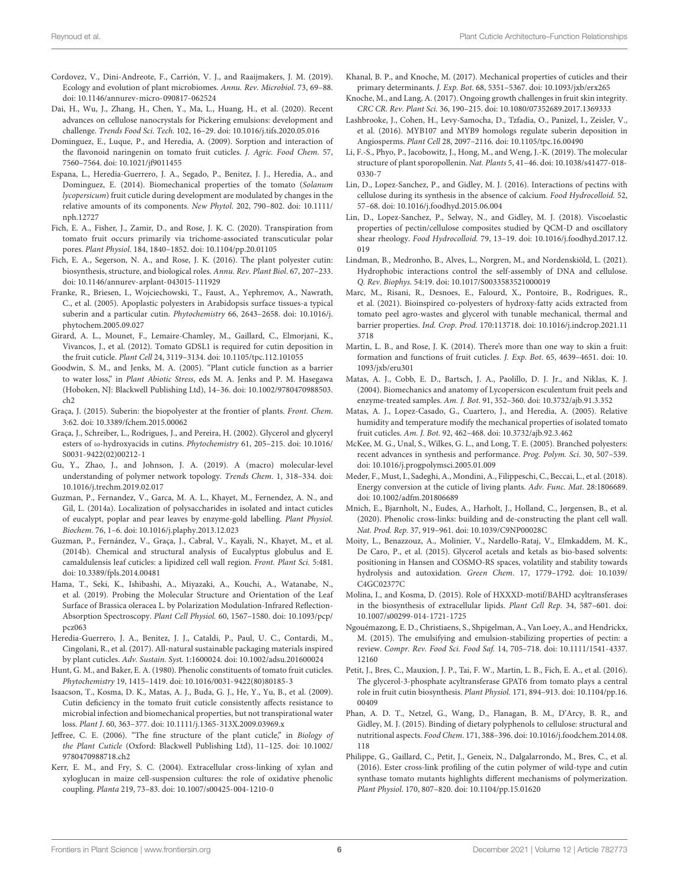- Cordovez, V., Dini-Andreote, F., Carrión, V. J., and Raaijmakers, J. M. (2019). Ecology and evolution of plant microbiomes. Annu. Rev. Microbiol. 73, 69–88. [doi: 10.1146/annurev-micro-090817-062524](https://doi.org/10.1146/annurev-micro-090817-062524)
- Dai, H., Wu, J., Zhang, H., Chen, Y., Ma, L., Huang, H., et al. (2020). Recent advances on cellulose nanocrystals for Pickering emulsions: development and challenge. Trends Food Sci. Tech. 102, 16–29. [doi: 10.1016/j.tifs.2020.05.016](https://doi.org/10.1016/j.tifs.2020.05.016)
- Dominguez, E., Luque, P., and Heredia, A. (2009). Sorption and interaction of the flavonoid naringenin on tomato fruit cuticles. J. Agric. Food Chem. 57, 7560–7564. [doi: 10.1021/jf9011455](https://doi.org/10.1021/jf9011455)
- Espana, L., Heredia-Guerrero, J. A., Segado, P., Benitez, J. J., Heredia, A., and Dominguez, E. (2014). Biomechanical properties of the tomato (Solanum lycopersicum) fruit cuticle during development are modulated by changes in the relative amounts of its components. New Phytol. 202, 790–802. [doi: 10.1111/](https://doi.org/10.1111/nph.12727) [nph.12727](https://doi.org/10.1111/nph.12727)
- Fich, E. A., Fisher, J., Zamir, D., and Rose, J. K. C. (2020). Transpiration from tomato fruit occurs primarily via trichome-associated transcuticular polar pores. Plant Physiol. 184, 1840–1852. [doi: 10.1104/pp.20.01105](https://doi.org/10.1104/pp.20.01105)
- Fich, E. A., Segerson, N. A., and Rose, J. K. (2016). The plant polyester cutin: biosynthesis, structure, and biological roles. Annu. Rev. Plant Biol. 67, 207–233. [doi: 10.1146/annurev-arplant-043015-111929](https://doi.org/10.1146/annurev-arplant-043015-111929)
- Franke, R., Briesen, I., Wojciechowski, T., Faust, A., Yephremov, A., Nawrath, C., et al. (2005). Apoplastic polyesters in Arabidopsis surface tissues-a typical suberin and a particular cutin. Phytochemistry 66, 2643–2658. [doi: 10.1016/j.](https://doi.org/10.1016/j.phytochem.2005.09.027) [phytochem.2005.09.027](https://doi.org/10.1016/j.phytochem.2005.09.027)
- Girard, A. L., Mounet, F., Lemaire-Chamley, M., Gaillard, C., Elmorjani, K., Vivancos, J., et al. (2012). Tomato GDSL1 is required for cutin deposition in the fruit cuticle. Plant Cell 24, 3119–3134. [doi: 10.1105/tpc.112.101055](https://doi.org/10.1105/tpc.112.101055)
- Goodwin, S. M., and Jenks, M. A. (2005). "Plant cuticle function as a barrier to water loss," in Plant Abiotic Stress, eds M. A. Jenks and P. M. Hasegawa (Hoboken, NJ: Blackwell Publishing Ltd), 14–36. [doi: 10.1002/9780470988503.](https://doi.org/10.1002/9780470988503.ch2) [ch2](https://doi.org/10.1002/9780470988503.ch2)
- Graça, J. (2015). Suberin: the biopolyester at the frontier of plants. Front. Chem. 3:62. [doi: 10.3389/fchem.2015.00062](https://doi.org/10.3389/fchem.2015.00062)
- Graça, J., Schreiber, L., Rodrigues, J., and Pereira, H. (2002). Glycerol and glyceryl esters of ω-hydroxyacids in cutins. Phytochemistry 61, 205–215. [doi: 10.1016/](https://doi.org/10.1016/S0031-9422(02)00212-1) [S0031-9422\(02\)00212-1](https://doi.org/10.1016/S0031-9422(02)00212-1)
- Gu, Y., Zhao, J., and Johnson, J. A. (2019). A (macro) molecular-level understanding of polymer network topology. Trends Chem. 1, 318–334. [doi:](https://doi.org/10.1016/j.trechm.2019.02.017) [10.1016/j.trechm.2019.02.017](https://doi.org/10.1016/j.trechm.2019.02.017)
- Guzman, P., Fernandez, V., Garca, M. A. L., Khayet, M., Fernendez, A. N., and Gil, L. (2014a). Localization of polysaccharides in isolated and intact cuticles of eucalypt, poplar and pear leaves by enzyme-gold labelling. Plant Physiol. Biochem. 76, 1–6. [doi: 10.1016/j.plaphy.2013.12.023](https://doi.org/10.1016/j.plaphy.2013.12.023)
- Guzman, P., Fernández, V., Graça, J., Cabral, V., Kayali, N., Khayet, M., et al. (2014b). Chemical and structural analysis of Eucalyptus globulus and E. camaldulensis leaf cuticles: a lipidized cell wall region. Front. Plant Sci. 5:481. [doi: 10.3389/fpls.2014.00481](https://doi.org/10.3389/fpls.2014.00481)
- Hama, T., Seki, K., Ishibashi, A., Miyazaki, A., Kouchi, A., Watanabe, N., et al. (2019). Probing the Molecular Structure and Orientation of the Leaf Surface of Brassica oleracea L. by Polarization Modulation-Infrared Reflection-Absorption Spectroscopy. Plant Cell Physiol. 60, 1567–1580. [doi: 10.1093/pcp/](https://doi.org/10.1093/pcp/pcz063) [pcz063](https://doi.org/10.1093/pcp/pcz063)
- Heredia-Guerrero, J. A., Benitez, J. J., Cataldi, P., Paul, U. C., Contardi, M., Cingolani, R., et al. (2017). All-natural sustainable packaging materials inspired by plant cuticles. Adv. Sustain. Syst. 1:1600024. [doi: 10.1002/adsu.201600024](https://doi.org/10.1002/adsu.201600024)
- Hunt, G. M., and Baker, E. A. (1980). Phenolic constituents of tomato fruit cuticles. Phytochemistry 19, 1415–1419. [doi: 10.1016/0031-9422\(80\)80185-3](https://doi.org/10.1016/0031-9422(80)80185-3)
- Isaacson, T., Kosma, D. K., Matas, A. J., Buda, G. J., He, Y., Yu, B., et al. (2009). Cutin deficiency in the tomato fruit cuticle consistently affects resistance to microbial infection and biomechanical properties, but not transpirational water loss. Plant J. 60, 363–377. [doi: 10.1111/j.1365-313X.2009.03969.x](https://doi.org/10.1111/j.1365-313X.2009.03969.x)
- Jeffree, C. E. (2006). "The fine structure of the plant cuticle," in Biology of the Plant Cuticle (Oxford: Blackwell Publishing Ltd), 11–125. [doi: 10.1002/](https://doi.org/10.1002/9780470988718.ch2) [9780470988718.ch2](https://doi.org/10.1002/9780470988718.ch2)
- Kerr, E. M., and Fry, S. C. (2004). Extracellular cross-linking of xylan and xyloglucan in maize cell-suspension cultures: the role of oxidative phenolic coupling. Planta 219, 73–83. [doi: 10.1007/s00425-004-1210-0](https://doi.org/10.1007/s00425-004-1210-0)
- Khanal, B. P., and Knoche, M. (2017). Mechanical properties of cuticles and their primary determinants. J. Exp. Bot. 68, 5351–5367. [doi: 10.1093/jxb/erx265](https://doi.org/10.1093/jxb/erx265)
- Knoche, M., and Lang, A. (2017). Ongoing growth challenges in fruit skin integrity. CRC CR. Rev. Plant Sci. 36, 190–215. [doi: 10.1080/07352689.2017.1369333](https://doi.org/10.1080/07352689.2017.1369333)
- Lashbrooke, J., Cohen, H., Levy-Samocha, D., Tzfadia, O., Panizel, I., Zeisler, V., et al. (2016). MYB107 and MYB9 homologs regulate suberin deposition in Angiosperms. Plant Cell 28, 2097–2116. [doi: 10.1105/tpc.16.00490](https://doi.org/10.1105/tpc.16.00490)
- Li, F.-S., Phyo, P., Jacobowitz, J., Hong, M., and Weng, J.-K. (2019). The molecular structure of plant sporopollenin. Nat. Plants 5, 41–46. [doi: 10.1038/s41477-018-](https://doi.org/10.1038/s41477-018-0330-7) [0330-7](https://doi.org/10.1038/s41477-018-0330-7)
- Lin, D., Lopez-Sanchez, P., and Gidley, M. J. (2016). Interactions of pectins with cellulose during its synthesis in the absence of calcium. Food Hydrocolloid. 52, 57–68. [doi: 10.1016/j.foodhyd.2015.06.004](https://doi.org/10.1016/j.foodhyd.2015.06.004)
- Lin, D., Lopez-Sanchez, P., Selway, N., and Gidley, M. J. (2018). Viscoelastic properties of pectin/cellulose composites studied by QCM-D and oscillatory shear rheology. Food Hydrocolloid. 79, 13–19. [doi: 10.1016/j.foodhyd.2017.12.](https://doi.org/10.1016/j.foodhyd.2017.12.019) [019](https://doi.org/10.1016/j.foodhyd.2017.12.019)
- Lindman, B., Medronho, B., Alves, L., Norgren, M., and Nordenskiöld, L. (2021). Hydrophobic interactions control the self-assembly of DNA and cellulose. Q. Rev. Biophys. 54:19. [doi: 10.1017/S0033583521000019](https://doi.org/10.1017/S0033583521000019)
- Marc, M., Risani, R., Desnoes, E., Falourd, X., Pontoire, B., Rodrigues, R., et al. (2021). Bioinspired co-polyesters of hydroxy-fatty acids extracted from tomato peel agro-wastes and glycerol with tunable mechanical, thermal and barrier properties. Ind. Crop. Prod. 170:113718. [doi: 10.1016/j.indcrop.2021.11](https://doi.org/10.1016/j.indcrop.2021.113718) [3718](https://doi.org/10.1016/j.indcrop.2021.113718)
- Martin, L. B., and Rose, J. K. (2014). There's more than one way to skin a fruit: formation and functions of fruit cuticles. J. Exp. Bot. 65, 4639–4651. [doi: 10.](https://doi.org/10.1093/jxb/eru301) [1093/jxb/eru301](https://doi.org/10.1093/jxb/eru301)
- Matas, A. J., Cobb, E. D., Bartsch, J. A., Paolillo, D. J. Jr., and Niklas, K. J. (2004). Biomechanics and anatomy of Lycopersicon esculentum fruit peels and enzyme-treated samples. Am. J. Bot. 91, 352–360. [doi: 10.3732/ajb.91.3.352](https://doi.org/10.3732/ajb.91.3.352)
- Matas, A. J., Lopez-Casado, G., Cuartero, J., and Heredia, A. (2005). Relative humidity and temperature modify the mechanical properties of isolated tomato fruit cuticles. Am. J. Bot. 92, 462–468. [doi: 10.3732/ajb.92.3.462](https://doi.org/10.3732/ajb.92.3.462)
- McKee, M. G., Unal, S., Wilkes, G. L., and Long, T. E. (2005). Branched polyesters: recent advances in synthesis and performance. Prog. Polym. Sci. 30, 507–539. [doi: 10.1016/j.progpolymsci.2005.01.009](https://doi.org/10.1016/j.progpolymsci.2005.01.009)
- Meder, F., Must, I., Sadeghi, A., Mondini, A., Filippeschi, C., Beccai, L., et al. (2018). Energy conversion at the cuticle of living plants. Adv. Func. Mat. 28:1806689. [doi: 10.1002/adfm.201806689](https://doi.org/10.1002/adfm.201806689)
- Mnich, E., Bjarnholt, N., Eudes, A., Harholt, J., Holland, C., Jørgensen, B., et al. (2020). Phenolic cross-links: building and de-constructing the plant cell wall. Nat. Prod. Rep. 37, 919–961. [doi: 10.1039/C9NP00028C](https://doi.org/10.1039/C9NP00028C)
- Moity, L., Benazzouz, A., Molinier, V., Nardello-Rataj, V., Elmkaddem, M. K., De Caro, P., et al. (2015). Glycerol acetals and ketals as bio-based solvents: positioning in Hansen and COSMO-RS spaces, volatility and stability towards hydrolysis and autoxidation. Green Chem. 17, 1779–1792. [doi: 10.1039/](https://doi.org/10.1039/C4GC02377C) [C4GC02377C](https://doi.org/10.1039/C4GC02377C)
- Molina, I., and Kosma, D. (2015). Role of HXXXD-motif/BAHD acyltransferases in the biosynthesis of extracellular lipids. Plant Cell Rep. 34, 587–601. [doi:](https://doi.org/10.1007/s00299-014-1721-1725) [10.1007/s00299-014-1721-1725](https://doi.org/10.1007/s00299-014-1721-1725)
- Ngouémazong, E. D., Christiaens, S., Shpigelman, A., Van Loey, A., and Hendrickx, M. (2015). The emulsifying and emulsion-stabilizing properties of pectin: a review. Compr. Rev. Food Sci. Food Saf. 14, 705–718. [doi: 10.1111/1541-4337.](https://doi.org/10.1111/1541-4337.12160) [12160](https://doi.org/10.1111/1541-4337.12160)
- Petit, J., Bres, C., Mauxion, J. P., Tai, F. W., Martin, L. B., Fich, E. A., et al. (2016). The glycerol-3-phosphate acyltransferase GPAT6 from tomato plays a central role in fruit cutin biosynthesis. Plant Physiol. 171, 894–913. [doi: 10.1104/pp.16.](https://doi.org/10.1104/pp.16.00409) [00409](https://doi.org/10.1104/pp.16.00409)
- Phan, A. D. T., Netzel, G., Wang, D., Flanagan, B. M., D'Arcy, B. R., and Gidley, M. J. (2015). Binding of dietary polyphenols to cellulose: structural and nutritional aspects. Food Chem. 171, 388–396. [doi: 10.1016/j.foodchem.2014.08.](https://doi.org/10.1016/j.foodchem.2014.08.118) [118](https://doi.org/10.1016/j.foodchem.2014.08.118)
- Philippe, G., Gaillard, C., Petit, J., Geneix, N., Dalgalarrondo, M., Bres, C., et al. (2016). Ester cross-link profiling of the cutin polymer of wild-type and cutin synthase tomato mutants highlights different mechanisms of polymerization. Plant Physiol. 170, 807–820. [doi: 10.1104/pp.15.01620](https://doi.org/10.1104/pp.15.01620)